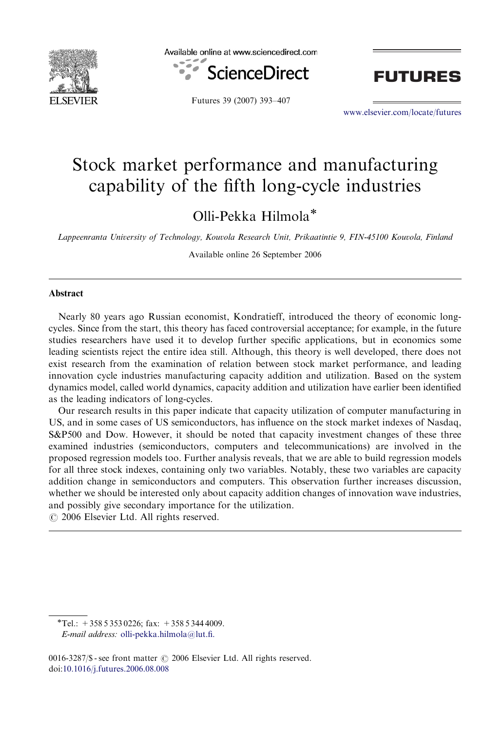

Available online at www.sciencedirect.com







<www.elsevier.com/locate/futures>

## Stock market performance and manufacturing capability of the fifth long-cycle industries

Olli-Pekka Hilmola\*

Lappeenranta University of Technology, Kouvola Research Unit, Prikaatintie 9, FIN-45100 Kouvola, Finland

Available online 26 September 2006

## **Abstract**

Nearly 80 years ago Russian economist, Kondratieff, introduced the theory of economic longcycles. Since from the start, this theory has faced controversial acceptance; for example, in the future studies researchers have used it to develop further specific applications, but in economics some leading scientists reject the entire idea still. Although, this theory is well developed, there does not exist research from the examination of relation between stock market performance, and leading innovation cycle industries manufacturing capacity addition and utilization. Based on the system dynamics model, called world dynamics, capacity addition and utilization have earlier been identified as the leading indicators of long-cycles.

Our research results in this paper indicate that capacity utilization of computer manufacturing in US, and in some cases of US semiconductors, has influence on the stock market indexes of Nasdaq, S&P500 and Dow. However, it should be noted that capacity investment changes of these three examined industries (semiconductors, computers and telecommunications) are involved in the proposed regression models too. Further analysis reveals, that we are able to build regression models for all three stock indexes, containing only two variables. Notably, these two variables are capacity addition change in semiconductors and computers. This observation further increases discussion, whether we should be interested only about capacity addition changes of innovation wave industries, and possibly give secondary importance for the utilization.

 $\odot$  2006 Elsevier Ltd. All rights reserved.

0016-3287/\$ - see front matter  $\circ$  2006 Elsevier Ltd. All rights reserved. doi[:10.1016/j.futures.2006.08.008](dx.doi.org/10.1016/j.futures.2006.08.008)

 $\overline{+}$ Tel.: +358 5 353 0226; fax: +358 5 344 4009.

E-mail address: [olli-pekka.hilmola@lut.fi.](mailto:olli-pekka.hilmola@lut.fi)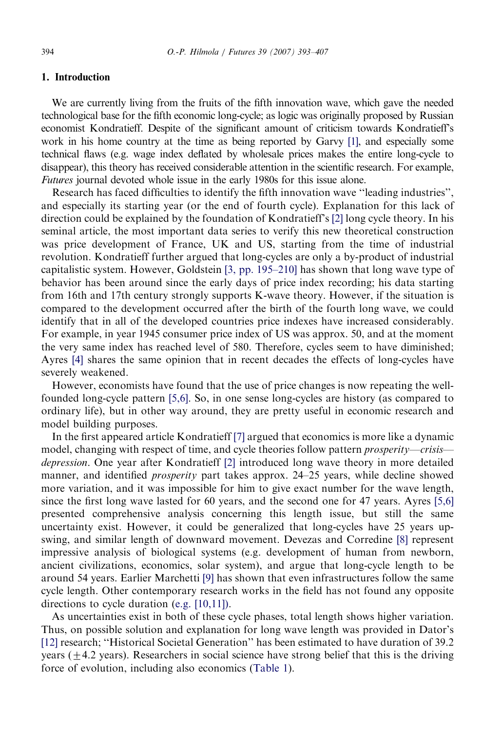## 1. Introduction

We are currently living from the fruits of the fifth innovation wave, which gave the needed technological base for the fifth economic long-cycle; as logic was originally proposed by Russian economist Kondratieff. Despite of the significant amount of criticism towards Kondratieff's work in his home country at the time as being reported by Garvy [\[1\]](#page--1-0), and especially some technical flaws (e.g. wage index deflated by wholesale prices makes the entire long-cycle to disappear), this theory has received considerable attention in the scientific research. For example, Futures journal devoted whole issue in the early 1980s for this issue alone.

Research has faced difficulties to identify the fifth innovation wave ''leading industries'', and especially its starting year (or the end of fourth cycle). Explanation for this lack of direction could be explained by the foundation of Kondratieff's [\[2\]](#page--1-0) long cycle theory. In his seminal article, the most important data series to verify this new theoretical construction was price development of France, UK and US, starting from the time of industrial revolution. Kondratieff further argued that long-cycles are only a by-product of industrial capitalistic system. However, Goldstein [\[3, pp. 195–210\]](#page--1-0) has shown that long wave type of behavior has been around since the early days of price index recording; his data starting from 16th and 17th century strongly supports K-wave theory. However, if the situation is compared to the development occurred after the birth of the fourth long wave, we could identify that in all of the developed countries price indexes have increased considerably. For example, in year 1945 consumer price index of US was approx. 50, and at the moment the very same index has reached level of 580. Therefore, cycles seem to have diminished; Ayres [\[4\]](#page--1-0) shares the same opinion that in recent decades the effects of long-cycles have severely weakened.

However, economists have found that the use of price changes is now repeating the wellfounded long-cycle pattern [\[5,6\]](#page--1-0). So, in one sense long-cycles are history (as compared to ordinary life), but in other way around, they are pretty useful in economic research and model building purposes.

In the first appeared article Kondratieff [\[7\]](#page--1-0) argued that economics is more like a dynamic model, changing with respect of time, and cycle theories follow pattern *prosperity—crisis* depression. One year after Kondratieff [\[2\]](#page--1-0) introduced long wave theory in more detailed manner, and identified prosperity part takes approx. 24–25 years, while decline showed more variation, and it was impossible for him to give exact number for the wave length, since the first long wave lasted for 60 years, and the second one for 47 years. Ayres [\[5,6\]](#page--1-0) presented comprehensive analysis concerning this length issue, but still the same uncertainty exist. However, it could be generalized that long-cycles have 25 years upswing, and similar length of downward movement. Devezas and Corredine [\[8\]](#page--1-0) represent impressive analysis of biological systems (e.g. development of human from newborn, ancient civilizations, economics, solar system), and argue that long-cycle length to be around 54 years. Earlier Marchetti [\[9\]](#page--1-0) has shown that even infrastructures follow the same cycle length. Other contemporary research works in the field has not found any opposite directions to cycle duration [\(e.g. \[10,11\]\).](#page--1-0)

As uncertainties exist in both of these cycle phases, total length shows higher variation. Thus, on possible solution and explanation for long wave length was provided in Dator's [\[12\]](#page--1-0) research; ''Historical Societal Generation'' has been estimated to have duration of 39.2 years ( $\pm$ 4.2 years). Researchers in social science have strong belief that this is the driving force of evolution, including also economics ([Table 1](#page--1-0)).